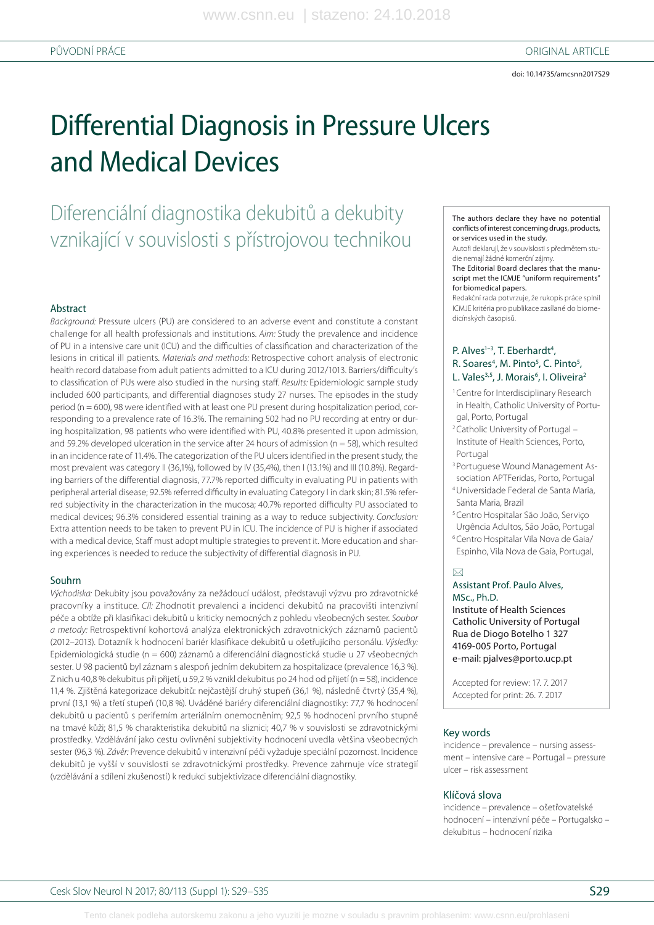doi: 10.14735/amcsnn2017S29

# Differential Diagnosis in Pressure Ulcers and Medical Devices

Diferenciální diagnostika dekubitů a dekubity vznikající v souvislosti s přístrojovou technikou

#### Abstract

Background: Pressure ulcers (PU) are considered to an adverse event and constitute a constant challenge for all health professionals and institutions. Aim: Study the prevalence and incidence of PU in a intensive care unit (ICU) and the difficulties of classification and characterization of the lesions in critical ill patients. Materials and methods: Retrospective cohort analysis of electronic health record database from adult patients admitted to a ICU during 2012/1013. Barriers/difficulty's to classification of PUs were also studied in the nursing staff. Results: Epidemiologic sample study included 600 participants, and differential diagnoses study 27 nurses. The episodes in the study period ( $n = 600$ ), 98 were identified with at least one PU present during hospitalization period, corresponding to a prevalence rate of 16.3%. The remaining 502 had no PU recording at entry or during hospitalization, 98 patients who were identified with PU, 40.8% presented it upon admission, and 59.2% developed ulceration in the service after 24 hours of admission ( $n = 58$ ), which resulted in an incidence rate of 11.4%. The categorization of the PU ulcers identified in the present study, the most prevalent was category II (36,1%), followed by IV (35,4%), then I (13.1%) and III (10.8%). Regarding barriers of the differential diagnosis, 77.7% reported difficulty in evaluating PU in patients with peripheral arterial disease; 92.5% referred difficulty in evaluating Category I in dark skin; 81.5% referred subjectivity in the characterization in the mucosa; 40.7% reported difficulty PU associated to medical devices; 96.3% considered essential training as a way to reduce subjectivity. Conclusion: Extra attention needs to be taken to prevent PU in ICU. The incidence of PU is higher if associated with a medical device, Staff must adopt multiple strategies to prevent it. More education and sharing experiences is needed to reduce the subjectivity of differential diagnosis in PU.

#### Souhrn

Východiska: Dekubity jsou považovány za nežádoucí událost, představují výzvu pro zdravotnické pracovníky a instituce. Cíl: Zhodnotit prevalenci a incidenci dekubitů na pracovišti intenzivní péče a obtíže při klasifikaci dekubitů u kriticky nemocných z pohledu všeobecných sester. Soubor a metody: Retrospektivní kohortová analýza elektronických zdravotnických záznamů pacientů (2012–2013). Dotazník k hodnocení bariér klasifikace dekubitů u ošetřujícího personálu. Výsledky: Epidemiologická studie (n = 600) záznamů a diferenciální diagnostická studie u 27 všeobecných sester. U 98 pacientů byl záznam s alespoň jedním dekubitem za hospitalizace (prevalence 16,3 %). Z nich u 40,8 % dekubitus při přijetí, u 59,2 % vznikl dekubitus po 24 hod od přijetí (n = 58), incidence 11,4 %. Zjištěná kategorizace dekubitů: nejčastější druhý stupeň (36,1 %), následně čtvrtý (35,4 %), první (13,1 %) a třetí stupeň (10,8 %). Uváděné bariéry diferenciální diagnostiky: 77,7 % hodnocení dekubitů u pacientů s periferním arteriálním onemocněním; 92,5 % hodnocení prvního stupně na tmavé kůži; 81,5 % charakteristika dekubitů na sliznici; 40,7 % v souvislosti se zdravotnickými prostředky. Vzdělávání jako cestu ovlivnění subjektivity hodnocení uvedla většina všeobecných sester (96,3 %). Závěr: Prevence dekubitů v intenzivní péči vyžaduje speciální pozornost. Incidence dekubitů je vyšší v souvislosti se zdravotnickými prostředky. Prevence zahrnuje více strategií (vzdělávání a sdílení zkušeností) k redukci subjektivizace diferenciální dia gnostiky.

The authors declare they have no potential conflicts of interest concerning drugs, products, or services used in the study.

Autoři deklarují, že v souvislosti s předmětem studie nemají žádné komerční zájmy.

The Editorial Board declares that the manuscript met the ICMJE "uniform requirements" for biomedical papers.

Redakční rada potvrzuje, že rukopis práce splnil ICMJE kritéria pro publikace zasílané do biomedicínských časopisů.

## P. Alves $1-3$ , T. Eberhardt<sup>4</sup>, R. Soares<sup>4</sup>, M. Pinto<sup>5</sup>, C. Pinto<sup>5</sup>, L. Vales<sup>3,5</sup>, J. Morais<sup>6</sup>, I. Oliveira<sup>2</sup>

- <sup>1</sup> Centre for Interdisciplinary Research in Health, Catholic University of Portugal, Porto, Portugal
- <sup>2</sup> Catholic University of Portugal -Institute of Health Sciences, Porto, Portugal
- 3 Portuguese Wound Management Association APTFeridas, Porto, Portugal
- <sup>4</sup>Universidade Federal de Santa Maria, Santa Maria, Brazil
- <sup>5</sup>Centro Hospitalar São João, Serviço Urgência Adultos, São João, Portugal <sup>6</sup>Centro Hospitalar Vila Nova de Gaia/
- Espinho, Vila Nova de Gaia, Portugal,

## $\boxtimes$

#### Assistant Prof. Paulo Alves, MSc., Ph.D.

Institute of Health Sciences Catholic University of Portugal Rua de Diogo Botelho 1 327 4169-005 Porto, Portugal e-mail: pjalves@porto.ucp.pt

Accepted for review: 17. 7. 2017 Accepted for print: 26. 7. 2017

#### Key words

incidence – prevalence – nursing assessment – intensive care – Portugal – pressure ulcer – risk assessment

#### Klíčová slova

incidence – prevalence – ošetřovatelské hodnocení – intenzivní péče – Portugalsko – dekubitus – hodnocení rizika

## Cesk Slov Neurol N 2017; 80/113 (Suppl 1): S29–S35 S29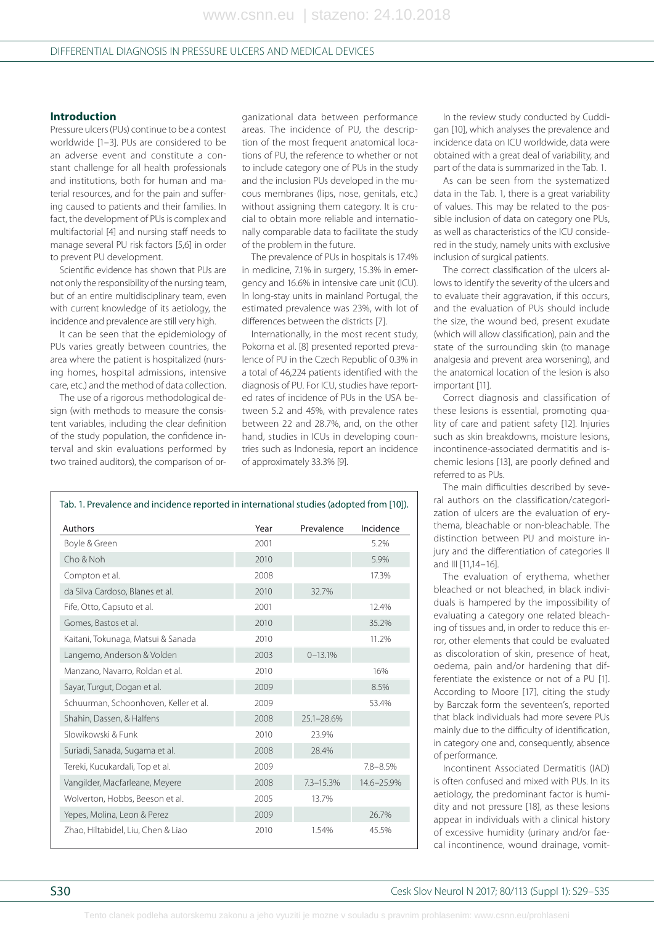# **Introduction**

Pressure ulcers (PUs) continue to be a contest worldwide [1–3]. PUs are considered to be an adverse event and constitute a constant challenge for all health professionals and institutions, both for human and material resources, and for the pain and suffering caused to patients and their families. In fact, the development of PUs is complex and multifactorial [4] and nursing staff needs to manage several PU risk factors [5,6] in order to prevent PU development.

Scientific evidence has shown that PUs are not only the responsibility of the nursing team, but of an entire multidisciplinary team, even with current knowledge of its aetiology, the incidence and prevalence are still very high.

It can be seen that the epidemiology of PUs varies greatly between countries, the area where the patient is hospitalized (nursing homes, hospital admissions, intensive care, etc.) and the method of data collection.

The use of a rigorous methodological design (with methods to measure the consistent variables, including the clear definition of the study population, the confidence interval and skin evaluations performed by two trained auditors), the comparison of organizational data between performance areas. The incidence of PU, the description of the most frequent anatomical locations of PU, the reference to whether or not to include category one of PUs in the study and the inclusion PUs developed in the mucous membranes (lips, nose, genitals, etc.) without assigning them category. It is crucial to obtain more reliable and internationally comparable data to facilitate the study of the problem in the future.

The prevalence of PUs in hospitals is 17.4% in medicine, 7.1% in surgery, 15.3% in emergency and 16.6% in intensive care unit (ICU). In long-stay units in mainland Portugal, the estimated prevalence was 23%, with lot of differences between the districts [7].

Internationally, in the most recent study, Pokorna et al. [8] presented reported prevalence of PU in the Czech Republic of 0.3% in a total of 46,224 patients identified with the diagnosis of PU. For ICU, studies have report ed rates of incidence of PUs in the USA between 5.2 and 45%, with prevalence rates between 22 and 28.7%, and, on the other hand, studies in ICUs in developing countries such as Indonesia, report an incidence of approximately 33.3% [9].

| Authors                               | Year | Prevalence    | Incidence    |
|---------------------------------------|------|---------------|--------------|
| Boyle & Green                         | 2001 |               | 5.2%         |
| Cho & Noh                             | 2010 |               | 5.9%         |
| Compton et al.                        | 2008 |               | 17.3%        |
| da Silva Cardoso, Blanes et al.       | 2010 | 32.7%         |              |
| Fife, Otto, Capsuto et al.            | 2001 |               | 12.4%        |
| Gomes, Bastos et al.                  | 2010 |               | 35.2%        |
| Kaitani, Tokunaga, Matsui & Sanada    | 2010 |               | 11.2%        |
| Langemo, Anderson & Volden            | 2003 | $0 - 13.1%$   |              |
| Manzano, Navarro, Roldan et al.       | 2010 |               | 16%          |
| Sayar, Turgut, Dogan et al.           | 2009 |               | 8.5%         |
| Schuurman, Schoonhoven, Keller et al. | 2009 |               | 53.4%        |
| Shahin, Dassen, & Halfens             | 2008 | 25.1-28.6%    |              |
| Slowikowski & Funk                    | 2010 | 23.9%         |              |
| Suriadi, Sanada, Sugama et al.        | 2008 | 28.4%         |              |
| Tereki, Kucukardali, Top et al.       | 2009 |               | $7.8 - 8.5%$ |
| Vangilder, Macfarleane, Meyere        | 2008 | $7.3 - 15.3%$ | 14.6-25.9%   |
| Wolverton, Hobbs, Beeson et al.       | 2005 | 13.7%         |              |
| Yepes, Molina, Leon & Perez           | 2009 |               | 26.7%        |
| Zhao, Hiltabidel, Liu, Chen & Liao    | 2010 | 1.54%         | 45.5%        |

Tab. 1. Prevalence and incidence reported in international studies (adopted from [10]).

In the review study conducted by Cuddigan [10], which analyses the prevalence and incidence data on ICU worldwide, data were obtained with a great deal of variability, and part of the data is summarized in the Tab. 1.

As can be seen from the systematized data in the Tab. 1, there is a great variability of values. This may be related to the possible inclusion of data on category one PUs, as well as characteristics of the ICU considered in the study, namely units with exclusive inclusion of surgical patients.

The correct classification of the ulcers allows to identify the severity of the ulcers and to evaluate their aggravation, if this occurs, and the evaluation of PUs should include the size, the wound bed, present exudate (which will allow classification), pain and the state of the surrounding skin (to manage analgesia and prevent area worsening), and the anatomical location of the lesion is also important [11].

Correct diagnosis and classification of these lesions is essential, promoting quality of care and patient safety [12]. Injuries such as skin breakdowns, moisture lesions, incontinence-as sociated dermatitis and ischemic lesions [13], are poorly defined and referred to as PUs.

The main difficulties described by several authors on the classification/categorization of ulcers are the evaluation of erythema, bleachable or non-bleachable. The distinction between PU and moisture injury and the differentiation of categories II and III [11,14–16].

The evaluation of erythema, whether bleached or not bleached, in black individuals is hampered by the impossibility of evaluating a category one related bleaching of tissues and, in order to reduce this error, other elements that could be evaluated as discoloration of skin, presence of heat, oedema, pain and/or hardening that differentiate the existence or not of a PU [1]. According to Moore [17], citing the study by Barczak form the seventeen's, reported that black individuals had more severe PUs mainly due to the difficulty of identification, in category one and, consequently, absence of performance.

Incontinent As sociated Dermatitis (IAD) is often confused and mixed with PUs. In its aetiology, the predominant factor is humidity and not pressure [18], as these lesions appear in individuals with a clinical history of excessive humidity (urinary and/or faecal incontinence, wound drainage, vomit-

#### Cesk Slov Neurol N 2017; 80/113 (Suppl 1): S29– S35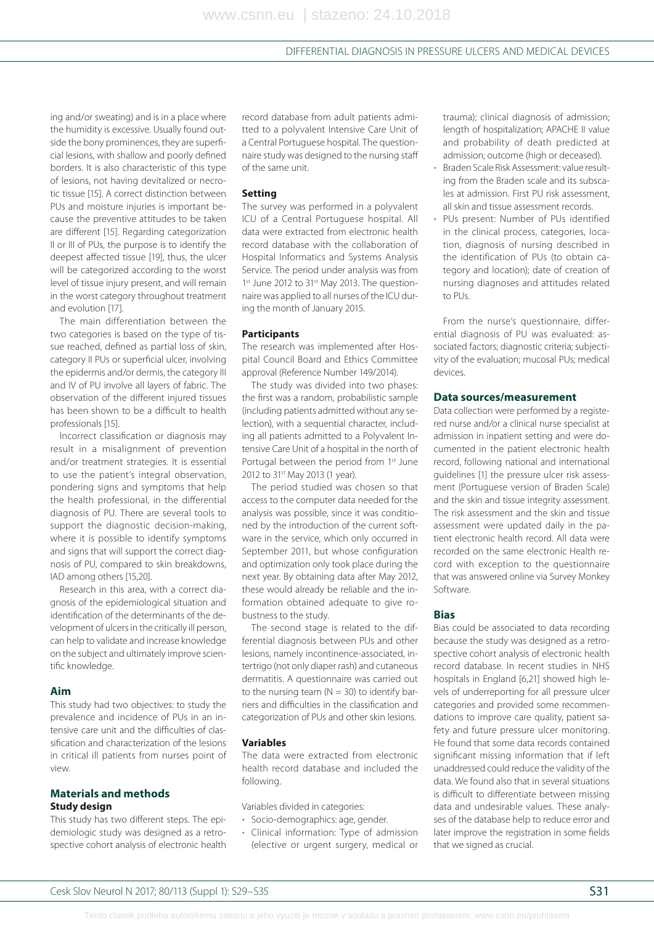ing and/or sweating) and is in a place where the humidity is excessive. Usually found outside the bony prominences, they are superficial lesions, with shallow and poorly defined borders. It is also characteristic of this type of lesions, not having devitalized or necrotic tissue [15]. A correct distinction between PUs and moisture injuries is important because the preventive attitudes to be taken are different [15]. Regarding categorization II or III of PUs, the purpose is to identify the deepest affected tissue [19], thus, the ulcer will be categorized according to the worst level of tissue injury present, and will remain in the worst category throughout treatment and evolution [17].

The main differentiation between the two categories is based on the type of tissue reached, defined as partial loss of skin, category II PUs or superficial ulcer, involving the epidermis and/or dermis, the category III and IV of PU involve all layers of fabric. The observation of the different injured tissues has been shown to be a difficult to health professionals [15].

Incorrect classification or diagnosis may result in a misalignment of prevention and/or treatment strategies. It is essential to use the patient's integral observation, pondering signs and symptoms that help the health professional, in the differential dia gnosis of PU. There are several tools to support the diagnostic decision-making, where it is possible to identify symptoms and signs that will support the correct diagnosis of PU, compared to skin breakdowns, IAD among others [15,20].

Research in this area, with a correct diagnosis of the epidemiological situation and identification of the determinants of the development of ulcers in the critically ill person, can help to validate and increase knowledge on the subject and ultimately improve scientific knowledge.

#### **Aim**

This study had two objectives: to study the prevalence and incidence of PUs in an intensive care unit and the difficulties of classification and characterization of the lesions in critical ill patients from nurses point of view.

## **Materials and methods Study design**

This study has two different steps. The epidemiologic study was designed as a retrospective cohort analysis of electronic health record database from adult patients admitted to a polyvalent Intensive Care Unit of a Central Portuguese hospital. The questionnaire study was designed to the nursing staff of the same unit.

#### **Setting**

The survey was performed in a polyvalent ICU of a Central Portuguese hospital. All data were extracted from electronic health record database with the collaboration of Hospital Informatics and Systems Analysis Service. The period under analysis was from 1<sup>st</sup> June 2012 to 31<sup>st</sup> May 2013. The questionnaire was applied to all nurses of the ICU during the month of January 2015.

#### **Participants**

The research was implemented after Hospital Council Board and Ethics Committee approval (Reference Number 149/2014).

The study was divided into two phases: the first was a random, probabilistic sample (including patients admitted without any selection), with a sequential character, including all patients admitted to a Polyvalent Intensive Care Unit of a hospital in the north of Portugal between the period from 1st June 2012 to 31<sup>st</sup> May 2013 (1 year).

The period studied was chosen so that access to the computer data needed for the analysis was possible, since it was conditioned by the introduction of the current software in the service, which only occurred in September 2011, but whose configuration and optimization only took place during the next year. By obtaining data after May 2012, these would already be reliable and the information obtained adequate to give robustness to the study.

The second stage is related to the differential diagnosis between PUs and other lesions, namely incontinence-associated, intertrigo (not only diaper rash) and cutaneous dermatitis. A questionnaire was carried out to the nursing team ( $N = 30$ ) to identify barriers and difficulties in the classification and categorization of PUs and other skin lesions.

## **Variables**

The data were extracted from electronic health record database and included the following.

Variables divided in categories:

- Socio-demographics: age, gender.
- Clinical information: Type of admission (elective or urgent surgery, medical or

trauma); clinical diagnosis of admission; length of hospitalization; APACHE II value and probability of death predicted at admission; outcome (high or deceased).

- Braden Scale Risk Assessment: value resulting from the Braden scale and its subscales at admission. First PU risk assessment, all skin and tissue assessment records.
- PUs present: Number of PUs identified in the clinical process, categories, location, diagnosis of nursing described in the identification of PUs (to obtain category and location); date of creation of nursing diagnoses and attitudes related to PUs.

From the nurse's questionnaire, differential diagnosis of PU was evaluated: associated factors; diagnostic criteria; subjectivity of the evaluation; mucosal PUs; medical devices.

#### **Data sources/measurement**

Data collection were performed by a registered nurse and/or a clinical nurse specialist at admission in inpatient setting and were documented in the patient electronic health record, following national and international guidelines [1] the pressure ulcer risk assessment (Portuguese version of Braden Scale) and the skin and tissue integrity assessment. The risk assessment and the skin and tissue assessment were updated daily in the patient electronic health record. All data were recorded on the same electronic Health record with exception to the questionnaire that was answered online via Survey Monkey Software.

#### **Bias**

Bias could be associated to data recording because the study was designed as a retrospective cohort analysis of electronic health record database. In recent studies in NHS hospitals in England [6,21] showed high levels of underreporting for all pressure ulcer categories and provided some recommendations to improve care quality, patient safety and future pressure ulcer monitoring. He found that some data records contained significant missing information that if left unaddressed could reduce the validity of the data. We found also that in several situations is difficult to differentiate between missing data and undesirable values. These analyses of the database help to reduce error and later improve the registration in some fields that we signed as crucial.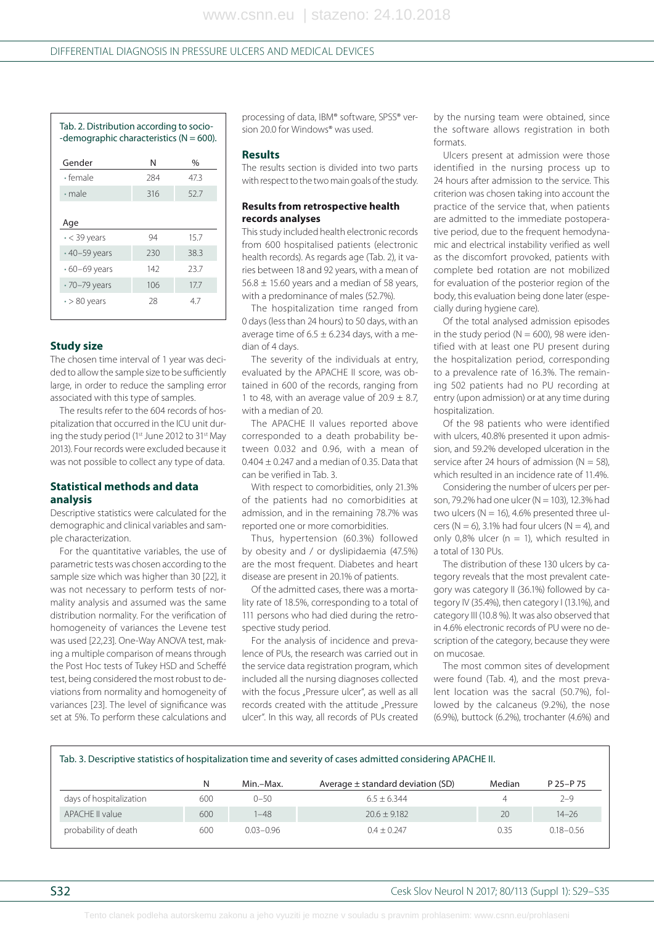Tab. 2. Distribution according to socio- -demographic characteristics ( $N = 600$ ).

| Gender              | N   | $\%$ |
|---------------------|-----|------|
| • female            | 284 | 47.3 |
| · male              | 316 | 52.7 |
| Age                 |     |      |
| $\cdot$ < 39 years  | 94  | 15.7 |
| $-40-59$ years      | 230 | 38.3 |
| $\cdot$ 60-69 years | 142 | 23.7 |
| $\cdot$ 70-79 years | 106 | 17.7 |
| $\cdot$ > 80 years  | 28  | 47   |

## **Study size**

The chosen time interval of 1 year was decided to allow the sample size to be sufficiently large, in order to reduce the sampling error associated with this type of samples.

The results refer to the 604 records of hospitalization that occurred in the ICU unit during the study period (1st June 2012 to 31st May 2013). Four records were excluded because it was not possible to collect any type of data.

## **Statistical methods and data analysis**

Descriptive statistics were calculated for the demographic and clinical variables and sample characterization.

For the quantitative variables, the use of parametric tests was chosen according to the sample size which was higher than 30 [22], it was not necessary to perform tests of normality analysis and assumed was the same distribution normality. For the verification of homogeneity of variances the Levene test was used [22,23]. One-Way ANOVA test, making a multiple comparison of means through the Post Hoc tests of Tukey HSD and Scheffé test, being considered the most robust to deviations from normality and homogeneity of variances [23]. The level of significance was set at 5%. To perform these calculations and

processing of data, IBM® software, SPSS® version 20.0 for Windows® was used.

#### **Results**

The results section is divided into two parts with respect to the two main goals of the study.

#### **Results from retrospective health records analyses**

This study included health electronic records from 600 hospitalised patients (electronic health records). As regards age (Tab. 2), it varies between 18 and 92 years, with a mean of  $56.8 \pm 15.60$  years and a median of 58 years, with a predominance of males (52.7%).

The hospitalization time ranged from 0 days (less than 24 hours) to 50 days, with an average time of  $6.5 \pm 6.234$  days, with a median of 4 days.

The severity of the individuals at entry, evaluated by the APACHE II score, was obtained in 600 of the records, ranging from 1 to 48, with an average value of  $20.9 \pm 8.7$ , with a median of 20.

The APACHE II values reported above corresponded to a death probability between 0.032 and 0.96, with a mean of  $0.404 \pm 0.247$  and a median of 0.35. Data that can be verified in Tab. 3.

With respect to comorbidities, only 21.3% of the patients had no comorbidities at admission, and in the remaining 78.7% was reported one or more comorbidities.

Thus, hypertension (60.3%) followed by obesity and / or dyslipidaemia (47.5%) are the most frequent. Diabetes and heart disease are present in 20.1% of patients.

Of the admitted cases, there was a mortality rate of 18.5%, corresponding to a total of 111 persons who had died during the retrospective study period.

For the analysis of incidence and prevalence of PUs, the research was carried out in the service data registration program, which included all the nursing diagnoses collected with the focus "Pressure ulcer", as well as all records created with the attitude "Pressure ulcer". In this way, all records of PUs created by the nursing team were obtained, since the software allows registration in both formats.

Ulcers present at admission were those identified in the nursing process up to 24 hours after admission to the service. This criterion was chosen taking into account the practice of the service that, when patients are admitted to the immediate postoperative period, due to the frequent hemodynamic and electrical instability verified as well as the discomfort provoked, patients with complete bed rotation are not mobilized for evaluation of the posterior region of the body, this evaluation being done later (especially during hygiene care).

Of the total analysed admission episodes in the study period ( $N = 600$ ), 98 were identified with at least one PU present during the hospitalization period, corresponding to a prevalence rate of 16.3%. The remaining 502 patients had no PU recording at entry (upon admission) or at any time during hospitalization.

Of the 98 patients who were identified with ulcers, 40.8% presented it upon admission, and 59.2% developed ulceration in the service after 24 hours of admission ( $N = 58$ ), which resulted in an incidence rate of 11.4%.

Considering the number of ulcers per person, 79.2% had one ulcer ( $N = 103$ ), 12.3% had two ulcers ( $N = 16$ ), 4.6% presented three ulcers ( $N = 6$ ), 3.1% had four ulcers ( $N = 4$ ), and only 0,8% ulcer ( $n = 1$ ), which resulted in a total of 130 PUs.

The distribution of these 130 ulcers by category reveals that the most prevalent category was category II (36.1%) followed by category IV (35.4%), then category I (13.1%), and category III (10.8 %). It was also observed that in 4.6% electronic records of PU were no description of the category, because they were on mucosae.

The most common sites of development were found (Tab. 4), and the most prevalent location was the sacral (50.7%), followed by the calcaneus (9.2%), the nose (6.9%), buttock (6.2%), trochanter (4.6%) and

|  | Tab. 3. Descriptive statistics of hospitalization time and severity of cases admitted considering APACHE II. |
|--|--------------------------------------------------------------------------------------------------------------|
|  |                                                                                                              |

|                         | N   | Min.-Max.     | Average $\pm$ standard deviation (SD) | Median | P 25-P 75     |
|-------------------------|-----|---------------|---------------------------------------|--------|---------------|
| days of hospitalization | 600 | $0 - 50$      | $6.5 + 6.344$                         |        | $2 - 9$       |
| APACHE II value         | 600 | $-48$         | $20.6 + 9.182$                        | 20     | $14 - 26$     |
| probability of death    | 600 | $0.03 - 0.96$ | $0.4 + 0.247$                         | 0.35   | $0.18 - 0.56$ |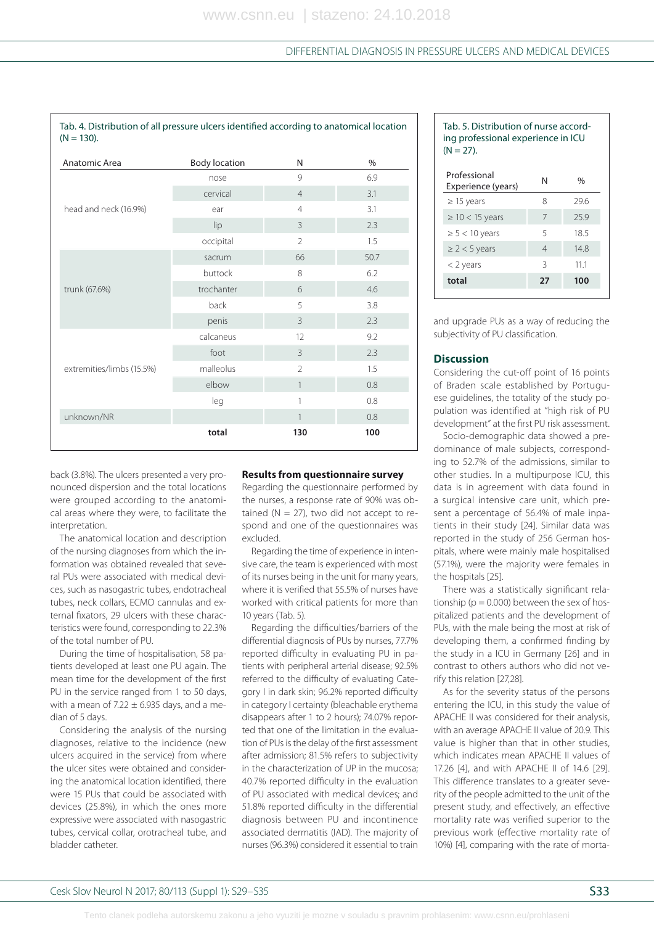| Anatomic Area             | <b>Body location</b> | N              | $\%$ |
|---------------------------|----------------------|----------------|------|
| head and neck (16.9%)     | nose                 | 9              | 6.9  |
|                           | cervical             | $\overline{4}$ | 3.1  |
|                           | ear                  | $\overline{4}$ | 3.1  |
|                           | lip                  | $\overline{3}$ | 2.3  |
|                           | occipital            | $\overline{2}$ | 1.5  |
| trunk (67.6%)             | sacrum               | 66             | 50.7 |
|                           | buttock              | 8              | 6.2  |
|                           | trochanter           | 6              | 4.6  |
|                           | back                 | 5              | 3.8  |
|                           | penis                | $\overline{3}$ | 2.3  |
|                           | calcaneus            | 12             | 9.2  |
|                           | foot                 | $\overline{3}$ | 2.3  |
| extremities/limbs (15.5%) | malleolus            | $\overline{2}$ | 1.5  |
|                           | elbow                | 1              | 0.8  |
|                           | leg                  | 1              | 0.8  |
| unknown/NR                |                      | 1              | 0.8  |
|                           | total                | 130            | 100  |

Tab. 4. Distribution of all pressure ulcers identified according to anatomical location

back (3.8%). The ulcers presented a very pronounced dispersion and the total locations were grouped according to the anatomical areas where they were, to facilitate the interpretation

The anatomical location and description of the nursing diagnoses from which the information was obtained revealed that several PUs were associated with medical devices, such as nasogastric tubes, endotracheal tubes, neck collars, ECMO cannulas and external fixators, 29 ulcers with these characteristics were found, corresponding to 22.3% of the total number of PU.

During the time of hospitalisation, 58 patients developed at least one PU again. The mean time for the development of the first PU in the service ranged from 1 to 50 days, with a mean of 7.22  $\pm$  6.935 days, and a median of 5 days.

Considering the analysis of the nursing diagnoses, relative to the incidence (new ulcers acquired in the service) from where the ulcer sites were obtained and considering the anatomical location identified, there were 15 PUs that could be associated with devices (25.8%), in which the ones more expressive were associated with nasogastric tubes, cervical collar, orotracheal tube, and bladder catheter.

#### **Results from question naire survey**

Regarding the questionnaire performed by the nurses, a response rate of 90% was obtained ( $N = 27$ ), two did not accept to respond and one of the questionnaires was excluded.

Regarding the time of experience in intensive care, the team is experienced with most of its nurses being in the unit for many years, where it is verified that 55.5% of nurses have worked with critical patients for more than 10 years (Tab. 5).

Regarding the difficulties/barriers of the differential diagnosis of PUs by nurses, 77.7% reported difficulty in evaluating PU in patients with peripheral arterial disease; 92.5% referred to the difficulty of evaluating Category I in dark skin; 96.2% reported difficulty in category I certainty (bleachable erythema disappears after 1 to 2 hours); 74.07% reported that one of the limitation in the evaluation of PUs is the delay of the first assessment after admission; 81.5% refers to subjectivity in the characterization of UP in the mucosa; 40.7% reported difficulty in the evaluation of PU associated with medical devices; and 51.8% reported difficulty in the differential dia gnosis between PU and incontinence as sociated dermatitis (IAD). The majority of nurses (96.3%) considered it essential to train

#### Tab. 5. Distribution of nurse according professional experience in ICU  $(N = 27)$ .

| Professional<br>Experience (years) | N                        | $\frac{0}{0}$ |
|------------------------------------|--------------------------|---------------|
| $\geq$ 15 years                    | 8                        | 296           |
| $\geq 10 < 15$ years               | 7                        | 259           |
| $\geq$ 5 < 10 years                | 5                        | 18.5          |
| $\geq$ 2 < 5 years                 | $\overline{\mathcal{A}}$ | 148           |
| $<$ 2 years                        | Β                        | 11.1          |
| total                              | 27                       | 100           |

and upgrade PUs as a way of reducing the subjectivity of PU classification.

## **Discus sion**

Considering the cut-off point of 16 points of Braden scale established by Portuguese quidelines, the totality of the study population was identified at "high risk of PU development" at the first PU risk assessment.

Socio-demographic data showed a predominance of male subjects, corresponding to 52.7% of the admissions, similar to other studies. In a multipurpose ICU, this data is in agreement with data found in a surgical intensive care unit, which present a percentage of 56.4% of male inpatients in their study [24]. Similar data was reported in the study of 256 German hospitals, where were mainly male hospitalised (57.1%), were the majority were females in the hospitals [25].

There was a statistically significant relationship ( $p = 0.000$ ) between the sex of hospitalized patients and the development of PUs, with the male being the most at risk of developing them, a confirmed finding by the study in a ICU in Germany [26] and in contrast to others authors who did not verify this relation [27,28].

As for the severity status of the persons entering the ICU, in this study the value of APACHE II was considered for their analysis, with an average APACHE II value of 20.9. This value is higher than that in other studies, which indicates mean APACHE II values of 17.26 [4], and with APACHE II of 14.6 [29]. This difference translates to a greater severity of the people admitted to the unit of the present study, and effectively, an effective mortality rate was verified superior to the previous work (effective mortality rate of 10%) [4], comparing with the rate of morta-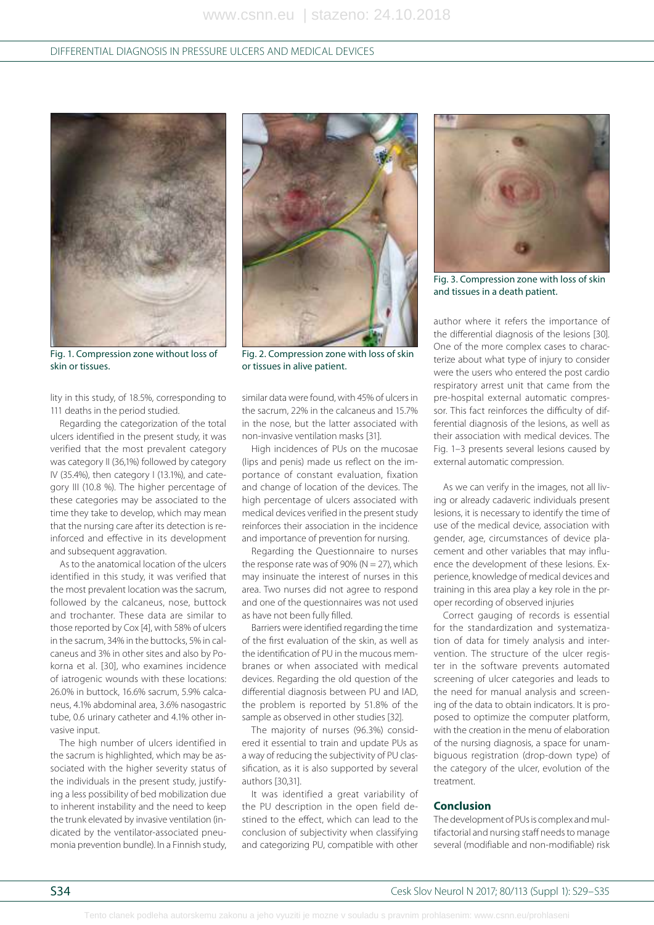

Fig. 1. Compression zone without loss of skin or tissues.

lity in this study, of 18.5%, corresponding to 111 deaths in the period studied.

Regarding the categorization of the total ulcers identified in the present study, it was verified that the most prevalent category was category II (36,1%) followed by category IV (35.4%), then category I (13.1%), and category III (10.8 %). The higher percentage of these categories may be associated to the time they take to develop, which may mean that the nursing care after its detection is reinforced and effective in its development and subsequent aggravation.

As to the anatomical location of the ulcers identified in this study, it was verified that the most prevalent location was the sacrum, followed by the calcaneus, nose, buttock and trochanter. These data are similar to those reported by Cox [4], with 58% of ulcers in the sacrum, 34% in the buttocks, 5% in calcaneus and 3% in other sites and also by Pokorna et al. [30], who examines incidence of iatrogenic wounds with these locations: 26.0% in buttock, 16.6% sacrum, 5.9% calcaneus, 4.1% abdominal area, 3.6% nasogastric tube, 0.6 urinary catheter and 4.1% other invasive input.

The high number of ulcers identified in the sacrum is highlighted, which may be associated with the higher severity status of the individuals in the present study, justifying a less possibility of bed mobilization due to inherent instability and the need to keep the trunk elevated by invasive ventilation (indicated by the ventilator-associated pneumonia prevention bundle). In a Finnish study,



Fig. 2. Compression zone with loss of skin or tissues in alive patient.

similar data were found, with 45% of ulcers in the sacrum, 22% in the calcaneus and 15.7% in the nose, but the latter associated with non-invasive ventilation masks [31].

High incidences of PUs on the mucosae (lips and penis) made us reflect on the importance of constant evaluation, fixation and change of location of the devices. The high percentage of ulcers associated with medical devices verified in the present study reinforces their as sociation in the incidence and importance of prevention for nursing.

Regarding the Questionnaire to nurses the response rate was of 90% ( $N = 27$ ), which may insinuate the interest of nurses in this area. Two nurses did not agree to respond and one of the questionnaires was not used as have not been fully filled.

Barriers were identified regarding the time of the first evaluation of the skin, as well as the identification of PU in the mucous membranes or when associated with medical devices. Regarding the old question of the differential diagnosis between PU and IAD, the problem is reported by 51.8% of the sample as observed in other studies [32].

The majority of nurses (96.3%) considered it essential to train and update PUs as a way of reducing the subjectivity of PU classification, as it is also supported by several authors [30,31].

It was identified a great variability of the PU description in the open field destined to the effect, which can lead to the conclusion of subjectivity when classifying and categorizing PU, compatible with other



Fig. 3. Compression zone with loss of skin and tissues in a death patient.

author where it refers the importance of the differential diagnosis of the lesions [30]. One of the more complex cases to characterize about what type of injury to consider were the users who entered the post cardio respiratory arrest unit that came from the pre-hospital external automatic compressor. This fact reinforces the difficulty of differential diagnosis of the lesions, as well as their association with medical devices. The Fig. 1–3 presents several lesions caused by external automatic compression.

As we can verify in the images, not all living or already cadaveric individuals present lesions, it is necessary to identify the time of use of the medical device, association with gender, age, circumstances of device placement and other variables that may influence the development of these lesions. Experience, knowledge of medical devices and training in this area play a key role in the proper recording of observed injuries

Correct gauging of records is essential for the standardization and systematization of data for timely analysis and intervention. The structure of the ulcer register in the software prevents automated screening of ulcer categories and leads to the need for manual analysis and screening of the data to obtain indicators. It is proposed to optimize the computer platform, with the creation in the menu of elaboration of the nursing diagnosis, a space for unambiguous registration (drop-down type) of the category of the ulcer, evolution of the treatment.

## **Conclusion**

The development of PUs is complex and multifactorial and nursing staff needs to manage several (modifiable and non-modifiable) risk